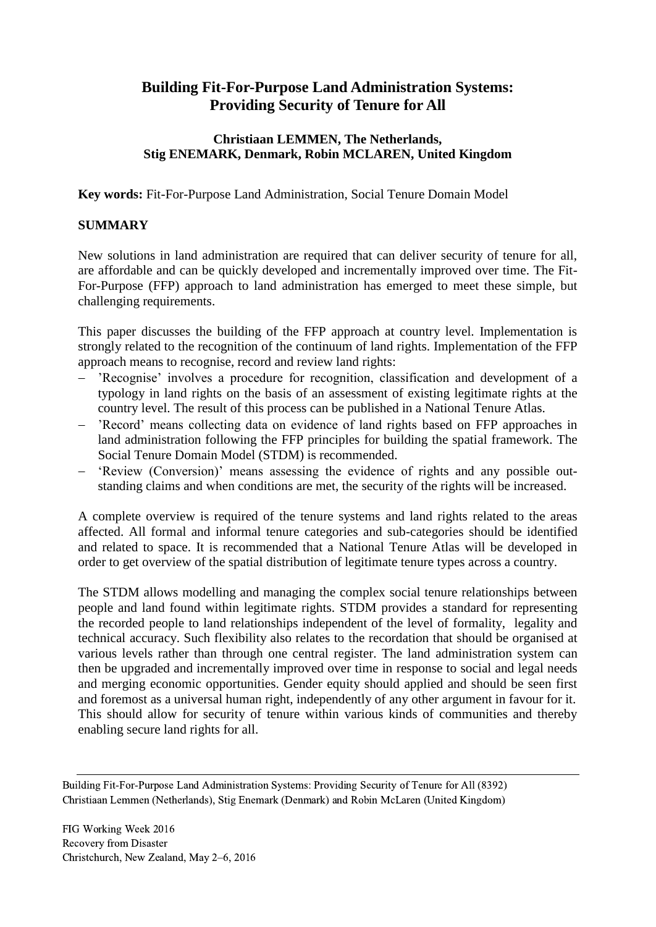# **Building Fit-For-Purpose Land Administration Systems: Providing Security of Tenure for All**

### **Christiaan LEMMEN, The Netherlands, Stig ENEMARK, Denmark, Robin MCLAREN, United Kingdom**

**Key words:** Fit-For-Purpose Land Administration, Social Tenure Domain Model

## **SUMMARY**

New solutions in land administration are required that can deliver security of tenure for all, are affordable and can be quickly developed and incrementally improved over time. The Fit-For-Purpose (FFP) approach to land administration has emerged to meet these simple, but challenging requirements.

This paper discusses the building of the FFP approach at country level. Implementation is strongly related to the recognition of the continuum of land rights. Implementation of the FFP approach means to recognise, record and review land rights:

- 'Recognise' involves a procedure for recognition, classification and development of a typology in land rights on the basis of an assessment of existing legitimate rights at the country level. The result of this process can be published in a National Tenure Atlas.
- 'Record' means collecting data on evidence of land rights based on FFP approaches in land administration following the FFP principles for building the spatial framework. The Social Tenure Domain Model (STDM) is recommended.
- 'Review (Conversion)' means assessing the evidence of rights and any possible outstanding claims and when conditions are met, the security of the rights will be increased.

A complete overview is required of the tenure systems and land rights related to the areas affected. All formal and informal tenure categories and sub-categories should be identified and related to space. It is recommended that a National Tenure Atlas will be developed in order to get overview of the spatial distribution of legitimate tenure types across a country.

The STDM allows modelling and managing the complex social tenure relationships between people and land found within legitimate rights. STDM provides a standard for representing the recorded people to land relationships independent of the level of formality, legality and technical accuracy. Such flexibility also relates to the recordation that should be organised at various levels rather than through one central register. The land administration system can then be upgraded and incrementally improved over time in response to social and legal needs and merging economic opportunities. Gender equity should applied and should be seen first and foremost as a universal human right, independently of any other argument in favour for it. This should allow for security of tenure within various kinds of communities and thereby enabling secure land rights for all.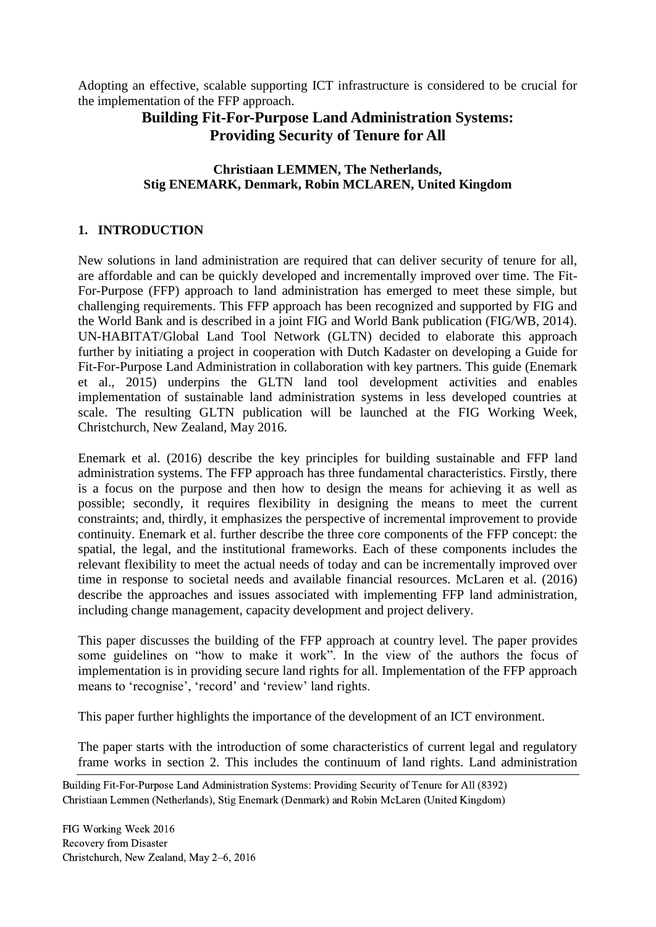Adopting an effective, scalable supporting ICT infrastructure is considered to be crucial for the implementation of the FFP approach.

## **Building Fit-For-Purpose Land Administration Systems: Providing Security of Tenure for All**

### **Christiaan LEMMEN, The Netherlands, Stig ENEMARK, Denmark, Robin MCLAREN, United Kingdom**

### **1. INTRODUCTION**

New solutions in land administration are required that can deliver security of tenure for all, are affordable and can be quickly developed and incrementally improved over time. The Fit-For-Purpose (FFP) approach to land administration has emerged to meet these simple, but challenging requirements. This FFP approach has been recognized and supported by FIG and the World Bank and is described in a joint FIG and World Bank publication (FIG/WB, 2014). UN-HABITAT/Global Land Tool Network (GLTN) decided to elaborate this approach further by initiating a project in cooperation with Dutch Kadaster on developing a Guide for Fit-For-Purpose Land Administration in collaboration with key partners. This guide (Enemark et al., 2015) underpins the GLTN land tool development activities and enables implementation of sustainable land administration systems in less developed countries at scale. The resulting GLTN publication will be launched at the FIG Working Week, Christchurch, New Zealand, May 2016.

Enemark et al. (2016) describe the key principles for building sustainable and FFP land administration systems. The FFP approach has three fundamental characteristics. Firstly, there is a focus on the purpose and then how to design the means for achieving it as well as possible; secondly, it requires flexibility in designing the means to meet the current constraints; and, thirdly, it emphasizes the perspective of incremental improvement to provide continuity. Enemark et al. further describe the three core components of the FFP concept: the spatial, the legal, and the institutional frameworks. Each of these components includes the relevant flexibility to meet the actual needs of today and can be incrementally improved over time in response to societal needs and available financial resources. McLaren et al. (2016) describe the approaches and issues associated with implementing FFP land administration, including change management, capacity development and project delivery.

This paper discusses the building of the FFP approach at country level. The paper provides some guidelines on "how to make it work". In the view of the authors the focus of implementation is in providing secure land rights for all. Implementation of the FFP approach means to 'recognise', 'record' and 'review' land rights.

This paper further highlights the importance of the development of an ICT environment.

The paper starts with the introduction of some characteristics of current legal and regulatory frame works in section 2. This includes the continuum of land rights. Land administration

Building Fit-For-Purpose Land Administration Systems: Providing Security of Tenure for All (8392) Christiaan Lemmen (Netherlands), Stig Enemark (Denmark) and Robin McLaren (United Kingdom)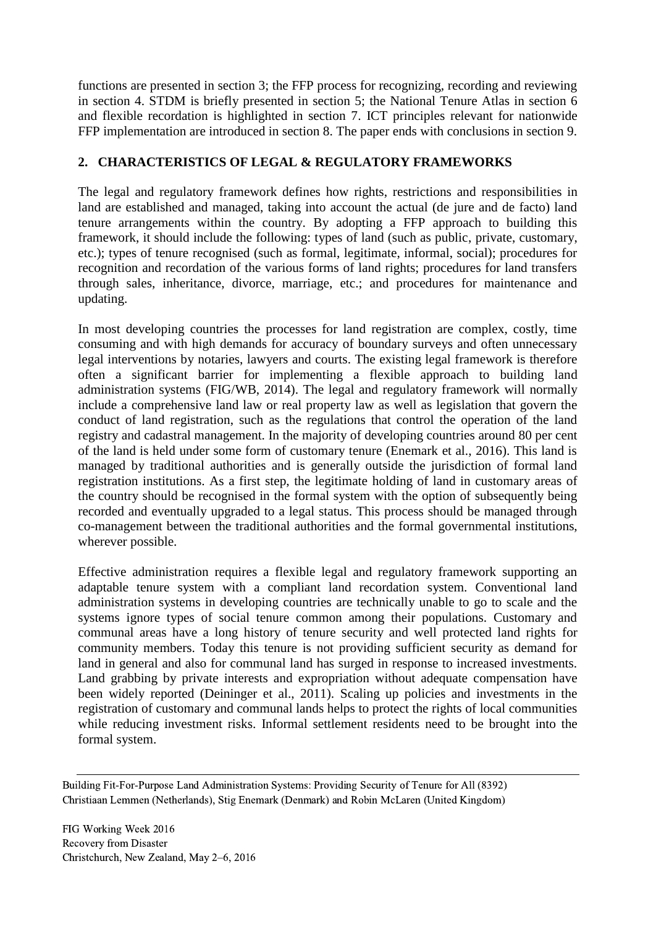functions are presented in section 3; the FFP process for recognizing, recording and reviewing in section 4. STDM is briefly presented in section 5; the National Tenure Atlas in section 6 and flexible recordation is highlighted in section 7. ICT principles relevant for nationwide FFP implementation are introduced in section 8. The paper ends with conclusions in section 9.

### **2. CHARACTERISTICS OF LEGAL & REGULATORY FRAMEWORKS**

The legal and regulatory framework defines how rights, restrictions and responsibilities in land are established and managed, taking into account the actual (de jure and de facto) land tenure arrangements within the country. By adopting a FFP approach to building this framework, it should include the following: types of land (such as public, private, customary, etc.); types of tenure recognised (such as formal, legitimate, informal, social); procedures for recognition and recordation of the various forms of land rights; procedures for land transfers through sales, inheritance, divorce, marriage, etc.; and procedures for maintenance and updating.

In most developing countries the processes for land registration are complex, costly, time consuming and with high demands for accuracy of boundary surveys and often unnecessary legal interventions by notaries, lawyers and courts. The existing legal framework is therefore often a significant barrier for implementing a flexible approach to building land administration systems (FIG/WB, 2014). The legal and regulatory framework will normally include a comprehensive land law or real property law as well as legislation that govern the conduct of land registration, such as the regulations that control the operation of the land registry and cadastral management. In the majority of developing countries around 80 per cent of the land is held under some form of customary tenure (Enemark et al., 2016). This land is managed by traditional authorities and is generally outside the jurisdiction of formal land registration institutions. As a first step, the legitimate holding of land in customary areas of the country should be recognised in the formal system with the option of subsequently being recorded and eventually upgraded to a legal status. This process should be managed through co-management between the traditional authorities and the formal governmental institutions, wherever possible.

Effective administration requires a flexible legal and regulatory framework supporting an adaptable tenure system with a compliant land recordation system. Conventional land administration systems in developing countries are technically unable to go to scale and the systems ignore types of social tenure common among their populations. Customary and communal areas have a long history of tenure security and well protected land rights for community members. Today this tenure is not providing sufficient security as demand for land in general and also for communal land has surged in response to increased investments. Land grabbing by private interests and expropriation without adequate compensation have been widely reported (Deininger et al., 2011). Scaling up policies and investments in the registration of customary and communal lands helps to protect the rights of local communities while reducing investment risks. Informal settlement residents need to be brought into the formal system.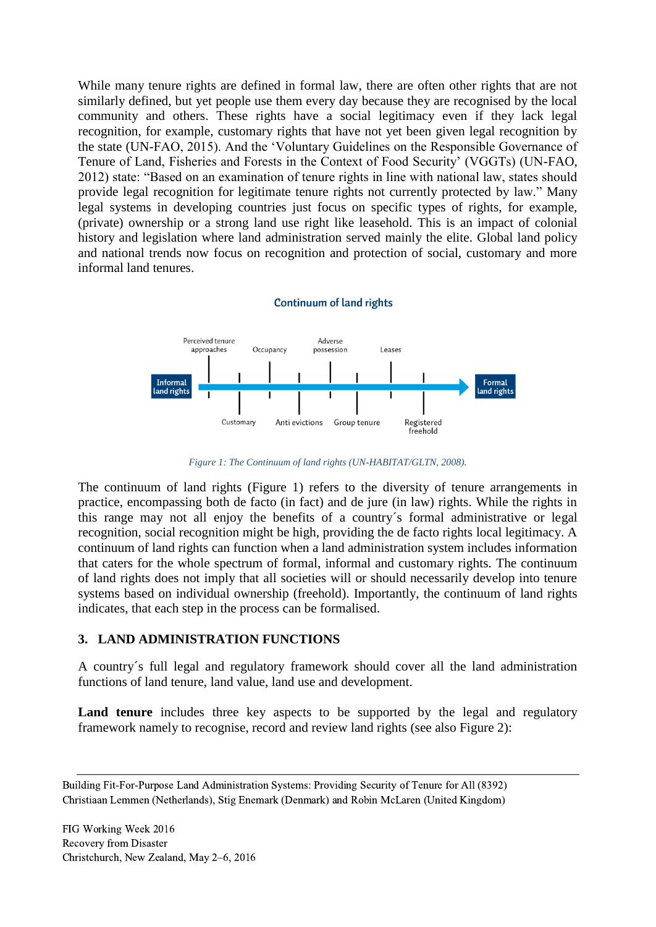While many tenure rights are defined in formal law, there are often other rights that are not similarly defined, but yet people use them every day because they are recognised by the local community and others. These rights have a social legitimacy even if they lack legal recognition, for example, customary rights that have not yet been given legal recognition by the state (UN-FAO, 2015). And the 'Voluntary Guidelines on the Responsible Governance of Tenure of Land, Fisheries and Forests in the Context of Food Security' (VGGTs) (UN-FAO, 2012) state: "Based on an examination of tenure rights in line with national law, states should provide legal recognition for legitimate tenure rights not currently protected by law." Many legal systems in developing countries just focus on specific types of rights, for example, (private) ownership or a strong land use right like leasehold. This is an impact of colonial history and legislation where land administration served mainly the elite. Global land policy and national trends now focus on recognition and protection of social, customary and more informal land tenures.

#### **Continuum of land rights**



*Figure 1: The Continuum of land rights (UN-HABITAT/GLTN, 2008).*

The continuum of land rights (Figure 1) refers to the diversity of tenure arrangements in practice, encompassing both de facto (in fact) and de jure (in law) rights. While the rights in this range may not all enjoy the benefits of a country´s formal administrative or legal recognition, social recognition might be high, providing the de facto rights local legitimacy. A continuum of land rights can function when a land administration system includes information that caters for the whole spectrum of formal, informal and customary rights. The continuum of land rights does not imply that all societies will or should necessarily develop into tenure systems based on individual ownership (freehold). Importantly, the continuum of land rights indicates, that each step in the process can be formalised.

### **3. LAND ADMINISTRATION FUNCTIONS**

A country´s full legal and regulatory framework should cover all the land administration functions of land tenure, land value, land use and development.

Land tenure includes three key aspects to be supported by the legal and regulatory framework namely to recognise, record and review land rights (see also Figure 2):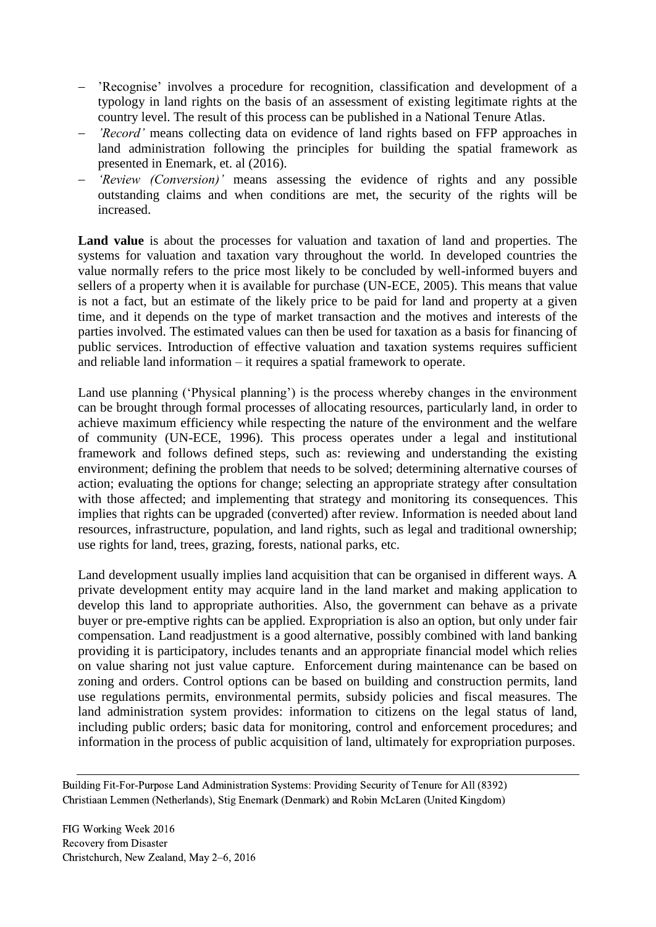- 'Recognise' involves a procedure for recognition, classification and development of a typology in land rights on the basis of an assessment of existing legitimate rights at the country level. The result of this process can be published in a National Tenure Atlas.
- *'Record'* means collecting data on evidence of land rights based on FFP approaches in land administration following the principles for building the spatial framework as presented in Enemark, et. al (2016).
- *'Review (Conversion)'* means assessing the evidence of rights and any possible outstanding claims and when conditions are met, the security of the rights will be increased.

**Land value** is about the processes for valuation and taxation of land and properties. The systems for valuation and taxation vary throughout the world. In developed countries the value normally refers to the price most likely to be concluded by well-informed buyers and sellers of a property when it is available for purchase (UN-ECE, 2005). This means that value is not a fact, but an estimate of the likely price to be paid for land and property at a given time, and it depends on the type of market transaction and the motives and interests of the parties involved. The estimated values can then be used for taxation as a basis for financing of public services. Introduction of effective valuation and taxation systems requires sufficient and reliable land information – it requires a spatial framework to operate.

Land use planning ('Physical planning') is the process whereby changes in the environment can be brought through formal processes of allocating resources, particularly land, in order to achieve maximum efficiency while respecting the nature of the environment and the welfare of community (UN-ECE, 1996). This process operates under a legal and institutional framework and follows defined steps, such as: reviewing and understanding the existing environment; defining the problem that needs to be solved; determining alternative courses of action; evaluating the options for change; selecting an appropriate strategy after consultation with those affected; and implementing that strategy and monitoring its consequences. This implies that rights can be upgraded (converted) after review. Information is needed about land resources, infrastructure, population, and land rights, such as legal and traditional ownership; use rights for land, trees, grazing, forests, national parks, etc.

Land development usually implies land acquisition that can be organised in different ways. A private development entity may acquire land in the land market and making application to develop this land to appropriate authorities. Also, the government can behave as a private buyer or pre-emptive rights can be applied. Expropriation is also an option, but only under fair compensation. Land readjustment is a good alternative, possibly combined with land banking providing it is participatory, includes tenants and an appropriate financial model which relies on value sharing not just value capture. Enforcement during maintenance can be based on zoning and orders. Control options can be based on building and construction permits, land use regulations permits, environmental permits, subsidy policies and fiscal measures. The land administration system provides: information to citizens on the legal status of land, including public orders; basic data for monitoring, control and enforcement procedures; and information in the process of public acquisition of land, ultimately for expropriation purposes.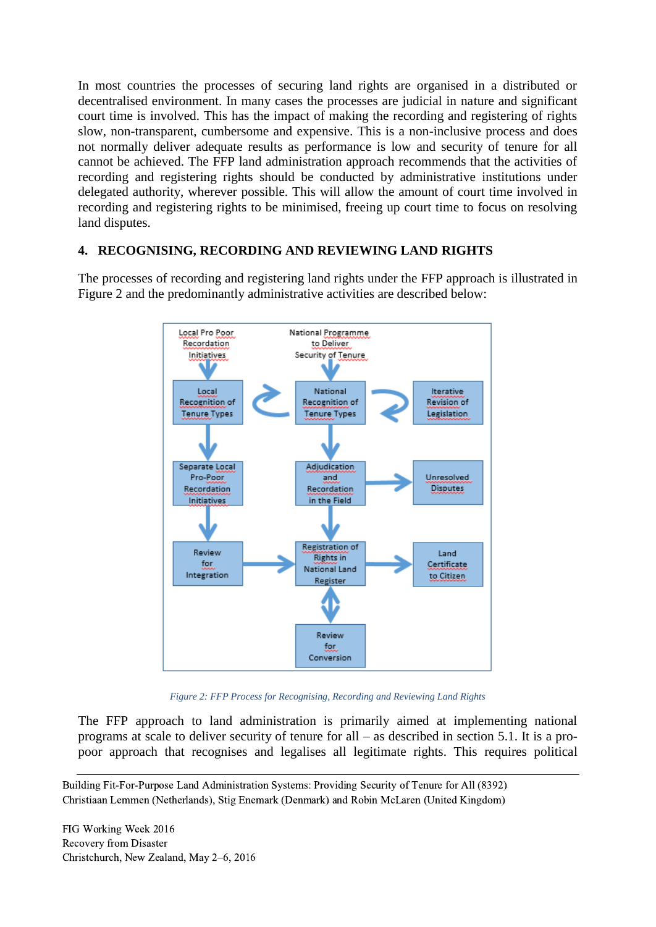In most countries the processes of securing land rights are organised in a distributed or decentralised environment. In many cases the processes are judicial in nature and significant court time is involved. This has the impact of making the recording and registering of rights slow, non-transparent, cumbersome and expensive. This is a non-inclusive process and does not normally deliver adequate results as performance is low and security of tenure for all cannot be achieved. The FFP land administration approach recommends that the activities of recording and registering rights should be conducted by administrative institutions under delegated authority, wherever possible. This will allow the amount of court time involved in recording and registering rights to be minimised, freeing up court time to focus on resolving land disputes.

### **4. RECOGNISING, RECORDING AND REVIEWING LAND RIGHTS**

The processes of recording and registering land rights under the FFP approach is illustrated in Figure 2 and the predominantly administrative activities are described below:



*Figure 2: FFP Process for Recognising, Recording and Reviewing Land Rights*

The FFP approach to land administration is primarily aimed at implementing national programs at scale to deliver security of tenure for all – as described in section 5.1. It is a propoor approach that recognises and legalises all legitimate rights. This requires political

Building Fit-For-Purpose Land Administration Systems: Providing Security of Tenure for All (8392) Christiaan Lemmen (Netherlands), Stig Enemark (Denmark) and Robin McLaren (United Kingdom)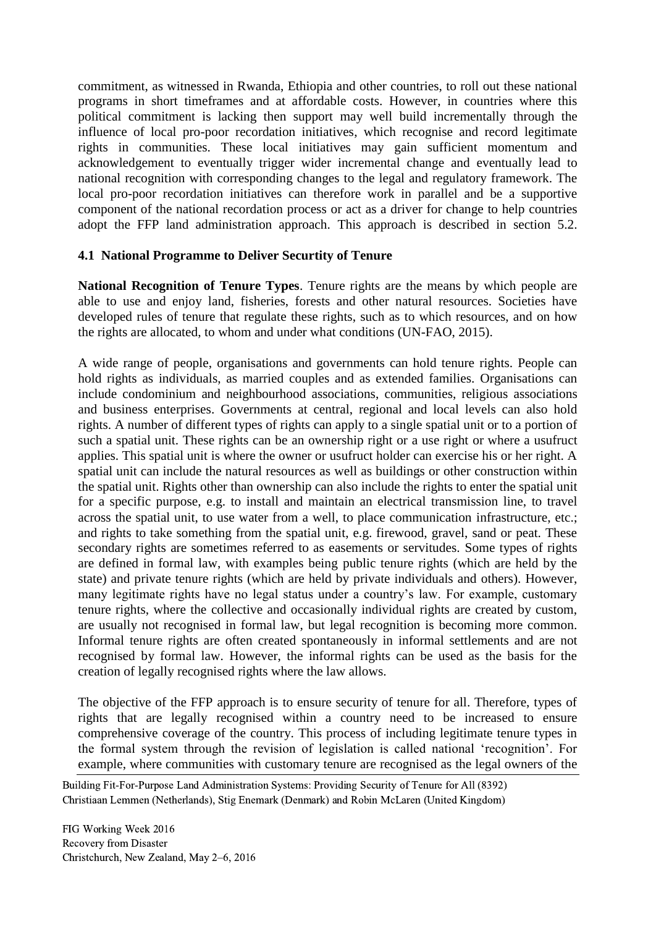commitment, as witnessed in Rwanda, Ethiopia and other countries, to roll out these national programs in short timeframes and at affordable costs. However, in countries where this political commitment is lacking then support may well build incrementally through the influence of local pro-poor recordation initiatives, which recognise and record legitimate rights in communities. These local initiatives may gain sufficient momentum and acknowledgement to eventually trigger wider incremental change and eventually lead to national recognition with corresponding changes to the legal and regulatory framework. The local pro-poor recordation initiatives can therefore work in parallel and be a supportive component of the national recordation process or act as a driver for change to help countries adopt the FFP land administration approach. This approach is described in section 5.2.

### **4.1 National Programme to Deliver Securtity of Tenure**

**National Recognition of Tenure Types**. Tenure rights are the means by which people are able to use and enjoy land, fisheries, forests and other natural resources. Societies have developed rules of tenure that regulate these rights, such as to which resources, and on how the rights are allocated, to whom and under what conditions (UN-FAO, 2015).

A wide range of people, organisations and governments can hold tenure rights. People can hold rights as individuals, as married couples and as extended families. Organisations can include condominium and neighbourhood associations, communities, religious associations and business enterprises. Governments at central, regional and local levels can also hold rights. A number of different types of rights can apply to a single spatial unit or to a portion of such a spatial unit. These rights can be an ownership right or a use right or where a usufruct applies. This spatial unit is where the owner or usufruct holder can exercise his or her right. A spatial unit can include the natural resources as well as buildings or other construction within the spatial unit. Rights other than ownership can also include the rights to enter the spatial unit for a specific purpose, e.g. to install and maintain an electrical transmission line, to travel across the spatial unit, to use water from a well, to place communication infrastructure, etc.; and rights to take something from the spatial unit, e.g. firewood, gravel, sand or peat. These secondary rights are sometimes referred to as easements or servitudes. Some types of rights are defined in formal law, with examples being public tenure rights (which are held by the state) and private tenure rights (which are held by private individuals and others). However, many legitimate rights have no legal status under a country's law. For example, customary tenure rights, where the collective and occasionally individual rights are created by custom, are usually not recognised in formal law, but legal recognition is becoming more common. Informal tenure rights are often created spontaneously in informal settlements and are not recognised by formal law. However, the informal rights can be used as the basis for the creation of legally recognised rights where the law allows.

The objective of the FFP approach is to ensure security of tenure for all. Therefore, types of rights that are legally recognised within a country need to be increased to ensure comprehensive coverage of the country. This process of including legitimate tenure types in the formal system through the revision of legislation is called national 'recognition'. For example, where communities with customary tenure are recognised as the legal owners of the

Building Fit-For-Purpose Land Administration Systems: Providing Security of Tenure for All (8392) Christiaan Lemmen (Netherlands), Stig Enemark (Denmark) and Robin McLaren (United Kingdom)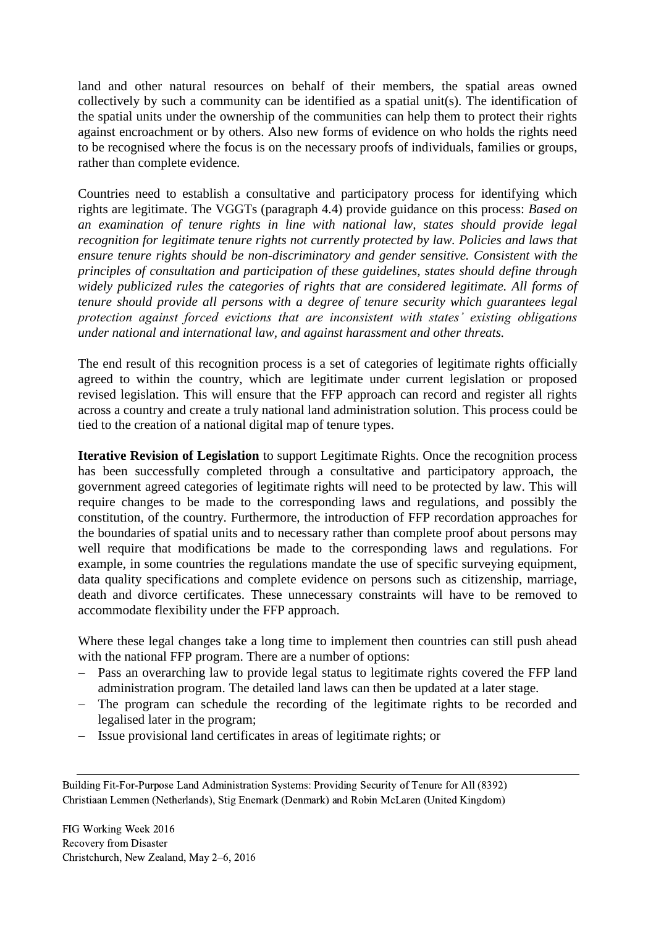land and other natural resources on behalf of their members, the spatial areas owned collectively by such a community can be identified as a spatial unit(s). The identification of the spatial units under the ownership of the communities can help them to protect their rights against encroachment or by others. Also new forms of evidence on who holds the rights need to be recognised where the focus is on the necessary proofs of individuals, families or groups, rather than complete evidence.

Countries need to establish a consultative and participatory process for identifying which rights are legitimate. The VGGTs (paragraph 4.4) provide guidance on this process: *Based on an examination of tenure rights in line with national law, states should provide legal recognition for legitimate tenure rights not currently protected by law. Policies and laws that ensure tenure rights should be non-discriminatory and gender sensitive. Consistent with the principles of consultation and participation of these guidelines, states should define through widely publicized rules the categories of rights that are considered legitimate. All forms of tenure should provide all persons with a degree of tenure security which guarantees legal protection against forced evictions that are inconsistent with states' existing obligations under national and international law, and against harassment and other threats.* 

The end result of this recognition process is a set of categories of legitimate rights officially agreed to within the country, which are legitimate under current legislation or proposed revised legislation. This will ensure that the FFP approach can record and register all rights across a country and create a truly national land administration solution. This process could be tied to the creation of a national digital map of tenure types.

**Iterative Revision of Legislation** to support Legitimate Rights. Once the recognition process has been successfully completed through a consultative and participatory approach, the government agreed categories of legitimate rights will need to be protected by law. This will require changes to be made to the corresponding laws and regulations, and possibly the constitution, of the country. Furthermore, the introduction of FFP recordation approaches for the boundaries of spatial units and to necessary rather than complete proof about persons may well require that modifications be made to the corresponding laws and regulations. For example, in some countries the regulations mandate the use of specific surveying equipment, data quality specifications and complete evidence on persons such as citizenship, marriage, death and divorce certificates. These unnecessary constraints will have to be removed to accommodate flexibility under the FFP approach.

Where these legal changes take a long time to implement then countries can still push ahead with the national FFP program. There are a number of options:

- Pass an overarching law to provide legal status to legitimate rights covered the FFP land administration program. The detailed land laws can then be updated at a later stage.
- The program can schedule the recording of the legitimate rights to be recorded and legalised later in the program;
- Issue provisional land certificates in areas of legitimate rights; or

Building Fit-For-Purpose Land Administration Systems: Providing Security of Tenure for All (8392) Christiaan Lemmen (Netherlands), Stig Enemark (Denmark) and Robin McLaren (United Kingdom)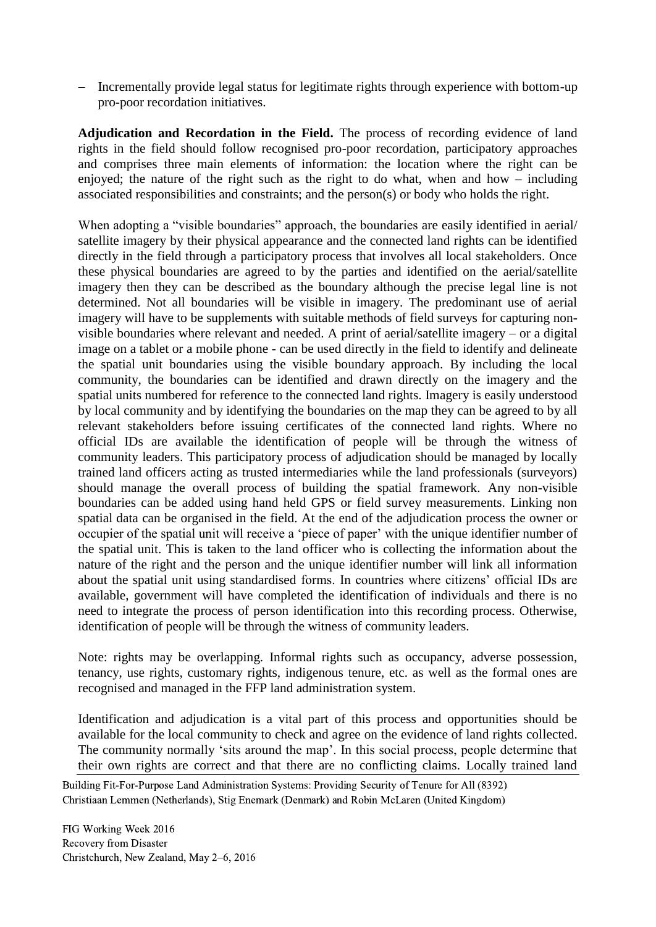Incrementally provide legal status for legitimate rights through experience with bottom-up pro-poor recordation initiatives.

**Adjudication and Recordation in the Field.** The process of recording evidence of land rights in the field should follow recognised pro-poor recordation, participatory approaches and comprises three main elements of information: the location where the right can be enjoyed; the nature of the right such as the right to do what, when and how – including associated responsibilities and constraints; and the person(s) or body who holds the right.

When adopting a "visible boundaries" approach, the boundaries are easily identified in aerial/ satellite imagery by their physical appearance and the connected land rights can be identified directly in the field through a participatory process that involves all local stakeholders. Once these physical boundaries are agreed to by the parties and identified on the aerial/satellite imagery then they can be described as the boundary although the precise legal line is not determined. Not all boundaries will be visible in imagery. The predominant use of aerial imagery will have to be supplements with suitable methods of field surveys for capturing nonvisible boundaries where relevant and needed. A print of aerial/satellite imagery – or a digital image on a tablet or a mobile phone - can be used directly in the field to identify and delineate the spatial unit boundaries using the visible boundary approach. By including the local community, the boundaries can be identified and drawn directly on the imagery and the spatial units numbered for reference to the connected land rights. Imagery is easily understood by local community and by identifying the boundaries on the map they can be agreed to by all relevant stakeholders before issuing certificates of the connected land rights. Where no official IDs are available the identification of people will be through the witness of community leaders. This participatory process of adjudication should be managed by locally trained land officers acting as trusted intermediaries while the land professionals (surveyors) should manage the overall process of building the spatial framework. Any non-visible boundaries can be added using hand held GPS or field survey measurements. Linking non spatial data can be organised in the field. At the end of the adjudication process the owner or occupier of the spatial unit will receive a 'piece of paper' with the unique identifier number of the spatial unit. This is taken to the land officer who is collecting the information about the nature of the right and the person and the unique identifier number will link all information about the spatial unit using standardised forms. In countries where citizens' official IDs are available, government will have completed the identification of individuals and there is no need to integrate the process of person identification into this recording process. Otherwise, identification of people will be through the witness of community leaders.

Note: rights may be overlapping. Informal rights such as occupancy, adverse possession, tenancy, use rights, customary rights, indigenous tenure, etc. as well as the formal ones are recognised and managed in the FFP land administration system.

Identification and adjudication is a vital part of this process and opportunities should be available for the local community to check and agree on the evidence of land rights collected. The community normally 'sits around the map'. In this social process, people determine that their own rights are correct and that there are no conflicting claims. Locally trained land

Building Fit-For-Purpose Land Administration Systems: Providing Security of Tenure for All (8392) Christiaan Lemmen (Netherlands), Stig Enemark (Denmark) and Robin McLaren (United Kingdom)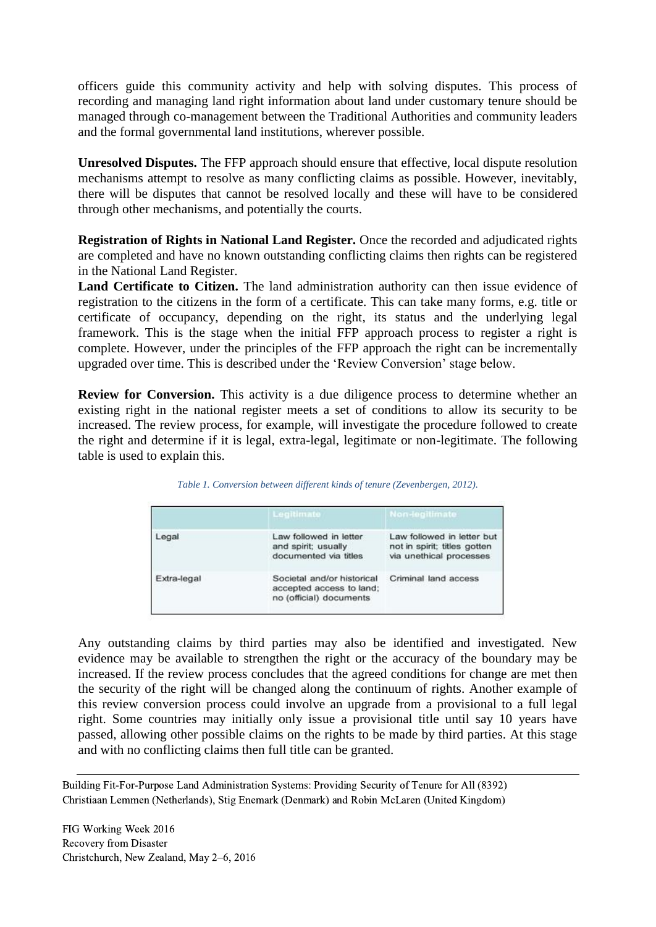officers guide this community activity and help with solving disputes. This process of recording and managing land right information about land under customary tenure should be managed through co-management between the Traditional Authorities and community leaders and the formal governmental land institutions, wherever possible.

**Unresolved Disputes.** The FFP approach should ensure that effective, local dispute resolution mechanisms attempt to resolve as many conflicting claims as possible. However, inevitably, there will be disputes that cannot be resolved locally and these will have to be considered through other mechanisms, and potentially the courts.

**Registration of Rights in National Land Register.** Once the recorded and adjudicated rights are completed and have no known outstanding conflicting claims then rights can be registered in the National Land Register.

**Land Certificate to Citizen.** The land administration authority can then issue evidence of registration to the citizens in the form of a certificate. This can take many forms, e.g. title or certificate of occupancy, depending on the right, its status and the underlying legal framework. This is the stage when the initial FFP approach process to register a right is complete. However, under the principles of the FFP approach the right can be incrementally upgraded over time. This is described under the 'Review Conversion' stage below.

**Review for Conversion.** This activity is a due diligence process to determine whether an existing right in the national register meets a set of conditions to allow its security to be increased. The review process, for example, will investigate the procedure followed to create the right and determine if it is legal, extra-legal, legitimate or non-legitimate. The following table is used to explain this.

|             | Legitimate                                                                        | Non-legitimate                                                                                                |  |  |
|-------------|-----------------------------------------------------------------------------------|---------------------------------------------------------------------------------------------------------------|--|--|
| Legal       | Law followed in letter<br>and spirit; usually<br>documented via titles            | Law followed in letter but<br>not in spirit; titles gotten<br>via unethical processes<br>Criminal land access |  |  |
| Extra-legal | Societal and/or historical<br>accepted access to land;<br>no (official) documents |                                                                                                               |  |  |

| Table 1. Conversion between different kinds of tenure (Zevenbergen, 2012). |  |  |  |  |  |  |
|----------------------------------------------------------------------------|--|--|--|--|--|--|
|----------------------------------------------------------------------------|--|--|--|--|--|--|

Any outstanding claims by third parties may also be identified and investigated. New evidence may be available to strengthen the right or the accuracy of the boundary may be increased. If the review process concludes that the agreed conditions for change are met then the security of the right will be changed along the continuum of rights. Another example of this review conversion process could involve an upgrade from a provisional to a full legal right. Some countries may initially only issue a provisional title until say 10 years have passed, allowing other possible claims on the rights to be made by third parties. At this stage and with no conflicting claims then full title can be granted.

Building Fit-For-Purpose Land Administration Systems: Providing Security of Tenure for All (8392) Christiaan Lemmen (Netherlands), Stig Enemark (Denmark) and Robin McLaren (United Kingdom)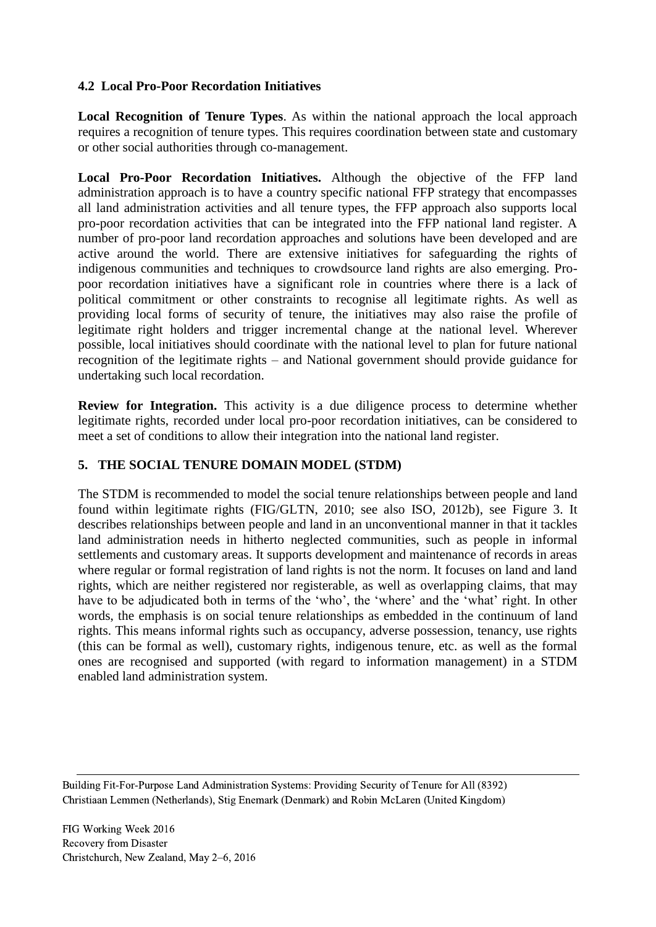### **4.2 Local Pro-Poor Recordation Initiatives**

**Local Recognition of Tenure Types**. As within the national approach the local approach requires a recognition of tenure types. This requires coordination between state and customary or other social authorities through co-management.

Local Pro-Poor Recordation Initiatives. Although the objective of the FFP land administration approach is to have a country specific national FFP strategy that encompasses all land administration activities and all tenure types, the FFP approach also supports local pro-poor recordation activities that can be integrated into the FFP national land register. A number of pro-poor land recordation approaches and solutions have been developed and are active around the world. There are extensive initiatives for safeguarding the rights of indigenous communities and techniques to crowdsource land rights are also emerging. Propoor recordation initiatives have a significant role in countries where there is a lack of political commitment or other constraints to recognise all legitimate rights. As well as providing local forms of security of tenure, the initiatives may also raise the profile of legitimate right holders and trigger incremental change at the national level. Wherever possible, local initiatives should coordinate with the national level to plan for future national recognition of the legitimate rights – and National government should provide guidance for undertaking such local recordation.

**Review for Integration.** This activity is a due diligence process to determine whether legitimate rights, recorded under local pro-poor recordation initiatives, can be considered to meet a set of conditions to allow their integration into the national land register.

## **5. THE SOCIAL TENURE DOMAIN MODEL (STDM)**

The STDM is recommended to model the social tenure relationships between people and land found within legitimate rights (FIG/GLTN, 2010; see also ISO, 2012b), see Figure 3. It describes relationships between people and land in an unconventional manner in that it tackles land administration needs in hitherto neglected communities, such as people in informal settlements and customary areas. It supports development and maintenance of records in areas where regular or formal registration of land rights is not the norm. It focuses on land and land rights, which are neither registered nor registerable, as well as overlapping claims, that may have to be adjudicated both in terms of the 'who', the 'where' and the 'what' right. In other words, the emphasis is on social tenure relationships as embedded in the continuum of land rights. This means informal rights such as occupancy, adverse possession, tenancy, use rights (this can be formal as well), customary rights, indigenous tenure, etc. as well as the formal ones are recognised and supported (with regard to information management) in a STDM enabled land administration system.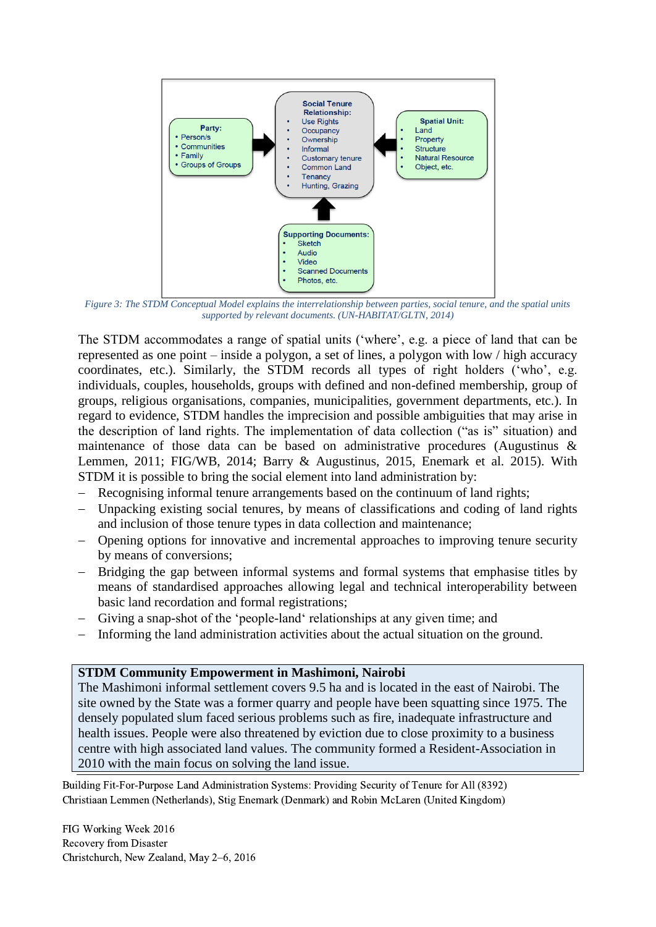

*Figure 3: The STDM Conceptual Model explains the interrelationship between parties, social tenure, and the spatial units supported by relevant documents. (UN-HABITAT/GLTN, 2014)*

The STDM accommodates a range of spatial units ('where', e.g. a piece of land that can be represented as one point – inside a polygon, a set of lines, a polygon with low / high accuracy coordinates, etc.). Similarly, the STDM records all types of right holders ('who', e.g. individuals, couples, households, groups with defined and non-defined membership, group of groups, religious organisations, companies, municipalities, government departments, etc.). In regard to evidence, STDM handles the imprecision and possible ambiguities that may arise in the description of land rights. The implementation of data collection ("as is" situation) and maintenance of those data can be based on administrative procedures (Augustinus & Lemmen, 2011; FIG/WB, 2014; Barry & Augustinus, 2015, Enemark et al. 2015). With STDM it is possible to bring the social element into land administration by:

- Recognising informal tenure arrangements based on the continuum of land rights;
- Unpacking existing social tenures, by means of classifications and coding of land rights and inclusion of those tenure types in data collection and maintenance;
- Opening options for innovative and incremental approaches to improving tenure security by means of conversions;
- Bridging the gap between informal systems and formal systems that emphasise titles by means of standardised approaches allowing legal and technical interoperability between basic land recordation and formal registrations;
- Giving a snap-shot of the 'people-land' relationships at any given time; and
- Informing the land administration activities about the actual situation on the ground.

#### **STDM Community Empowerment in Mashimoni, Nairobi**

The Mashimoni informal settlement covers 9.5 ha and is located in the east of Nairobi. The site owned by the State was a former quarry and people have been squatting since 1975. The densely populated slum faced serious problems such as fire, inadequate infrastructure and health issues. People were also threatened by eviction due to close proximity to a business centre with high associated land values. The community formed a Resident-Association in 2010 with the main focus on solving the land issue.

Building Fit-For-Purpose Land Administration Systems: Providing Security of Tenure for All (8392) Christiaan Lemmen (Netherlands), Stig Enemark (Denmark) and Robin McLaren (United Kingdom)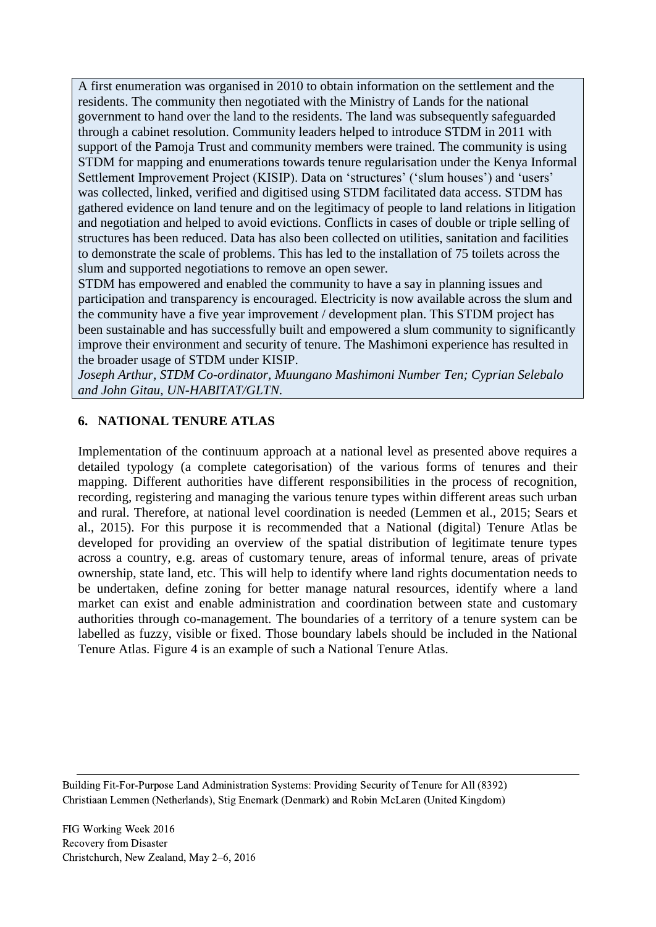A first enumeration was organised in 2010 to obtain information on the settlement and the residents. The community then negotiated with the Ministry of Lands for the national government to hand over the land to the residents. The land was subsequently safeguarded through a cabinet resolution. Community leaders helped to introduce STDM in 2011 with support of the Pamoja Trust and community members were trained. The community is using STDM for mapping and enumerations towards tenure regularisation under the Kenya Informal Settlement Improvement Project (KISIP). Data on 'structures' ('slum houses') and 'users' was collected, linked, verified and digitised using STDM facilitated data access. STDM has gathered evidence on land tenure and on the legitimacy of people to land relations in litigation and negotiation and helped to avoid evictions. Conflicts in cases of double or triple selling of structures has been reduced. Data has also been collected on utilities, sanitation and facilities to demonstrate the scale of problems. This has led to the installation of 75 toilets across the slum and supported negotiations to remove an open sewer.

STDM has empowered and enabled the community to have a say in planning issues and participation and transparency is encouraged. Electricity is now available across the slum and the community have a five year improvement / development plan. This STDM project has been sustainable and has successfully built and empowered a slum community to significantly improve their environment and security of tenure. The Mashimoni experience has resulted in the broader usage of STDM under KISIP.

*Joseph Arthur, STDM Co-ordinator, Muungano Mashimoni Number Ten; Cyprian Selebalo and John Gitau, UN-HABITAT/GLTN.*

## **6. NATIONAL TENURE ATLAS**

Implementation of the continuum approach at a national level as presented above requires a detailed typology (a complete categorisation) of the various forms of tenures and their mapping. Different authorities have different responsibilities in the process of recognition, recording, registering and managing the various tenure types within different areas such urban and rural. Therefore, at national level coordination is needed (Lemmen et al., 2015; Sears et al., 2015). For this purpose it is recommended that a National (digital) Tenure Atlas be developed for providing an overview of the spatial distribution of legitimate tenure types across a country, e.g. areas of customary tenure, areas of informal tenure, areas of private ownership, state land, etc. This will help to identify where land rights documentation needs to be undertaken, define zoning for better manage natural resources, identify where a land market can exist and enable administration and coordination between state and customary authorities through co-management. The boundaries of a territory of a tenure system can be labelled as fuzzy, visible or fixed. Those boundary labels should be included in the National Tenure Atlas. Figure 4 is an example of such a National Tenure Atlas.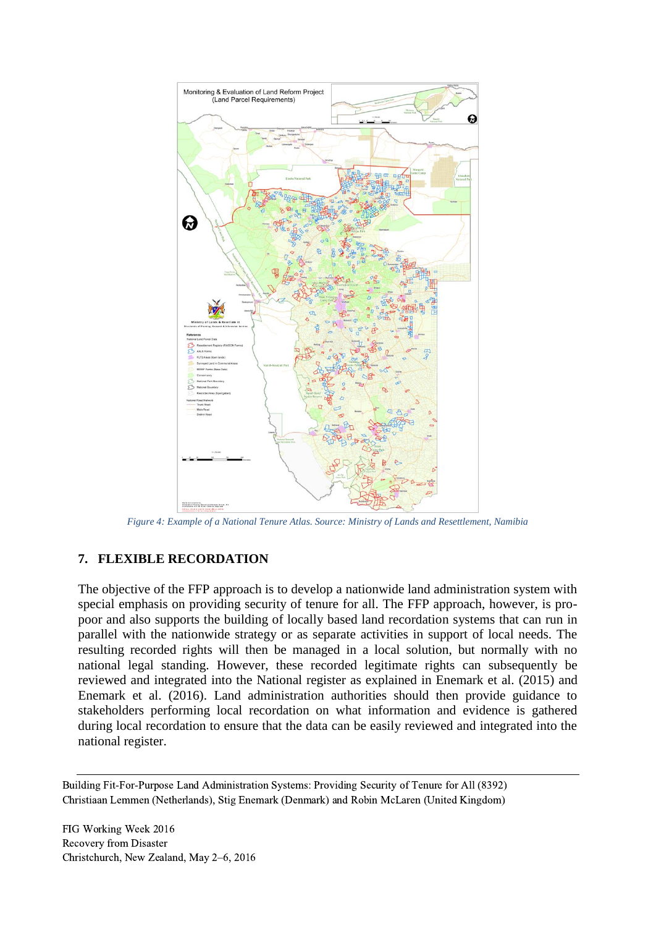

*Figure 4: Example of a National Tenure Atlas. Source: Ministry of Lands and Resettlement, Namibia*

### **7. FLEXIBLE RECORDATION**

The objective of the FFP approach is to develop a nationwide land administration system with special emphasis on providing security of tenure for all. The FFP approach, however, is propoor and also supports the building of locally based land recordation systems that can run in parallel with the nationwide strategy or as separate activities in support of local needs. The resulting recorded rights will then be managed in a local solution, but normally with no national legal standing. However, these recorded legitimate rights can subsequently be reviewed and integrated into the National register as explained in Enemark et al. (2015) and Enemark et al. (2016). Land administration authorities should then provide guidance to stakeholders performing local recordation on what information and evidence is gathered during local recordation to ensure that the data can be easily reviewed and integrated into the national register.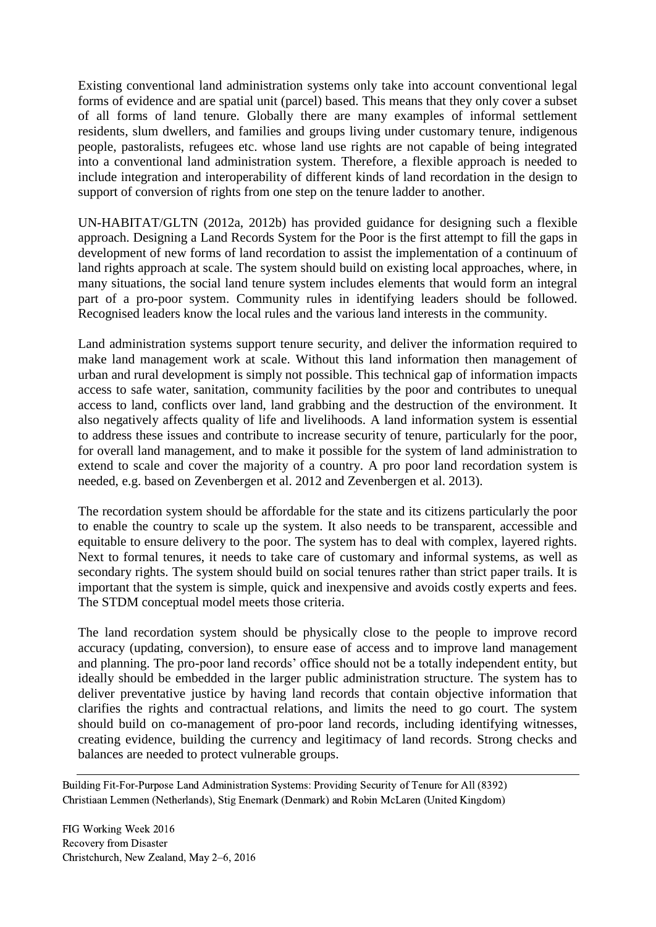Existing conventional land administration systems only take into account conventional legal forms of evidence and are spatial unit (parcel) based. This means that they only cover a subset of all forms of land tenure. Globally there are many examples of informal settlement residents, slum dwellers, and families and groups living under customary tenure, indigenous people, pastoralists, refugees etc. whose land use rights are not capable of being integrated into a conventional land administration system. Therefore, a flexible approach is needed to include integration and interoperability of different kinds of land recordation in the design to support of conversion of rights from one step on the tenure ladder to another.

UN-HABITAT/GLTN (2012a, 2012b) has provided guidance for designing such a flexible approach. Designing a Land Records System for the Poor is the first attempt to fill the gaps in development of new forms of land recordation to assist the implementation of a continuum of land rights approach at scale. The system should build on existing local approaches, where, in many situations, the social land tenure system includes elements that would form an integral part of a pro-poor system. Community rules in identifying leaders should be followed. Recognised leaders know the local rules and the various land interests in the community.

Land administration systems support tenure security, and deliver the information required to make land management work at scale. Without this land information then management of urban and rural development is simply not possible. This technical gap of information impacts access to safe water, sanitation, community facilities by the poor and contributes to unequal access to land, conflicts over land, land grabbing and the destruction of the environment. It also negatively affects quality of life and livelihoods. A land information system is essential to address these issues and contribute to increase security of tenure, particularly for the poor, for overall land management, and to make it possible for the system of land administration to extend to scale and cover the majority of a country. A pro poor land recordation system is needed, e.g. based on Zevenbergen et al. 2012 and Zevenbergen et al. 2013).

The recordation system should be affordable for the state and its citizens particularly the poor to enable the country to scale up the system. It also needs to be transparent, accessible and equitable to ensure delivery to the poor. The system has to deal with complex, layered rights. Next to formal tenures, it needs to take care of customary and informal systems, as well as secondary rights. The system should build on social tenures rather than strict paper trails. It is important that the system is simple, quick and inexpensive and avoids costly experts and fees. The STDM conceptual model meets those criteria.

The land recordation system should be physically close to the people to improve record accuracy (updating, conversion), to ensure ease of access and to improve land management and planning. The pro-poor land records' office should not be a totally independent entity, but ideally should be embedded in the larger public administration structure. The system has to deliver preventative justice by having land records that contain objective information that clarifies the rights and contractual relations, and limits the need to go court. The system should build on co-management of pro-poor land records, including identifying witnesses, creating evidence, building the currency and legitimacy of land records. Strong checks and balances are needed to protect vulnerable groups.

Building Fit-For-Purpose Land Administration Systems: Providing Security of Tenure for All (8392) Christiaan Lemmen (Netherlands), Stig Enemark (Denmark) and Robin McLaren (United Kingdom)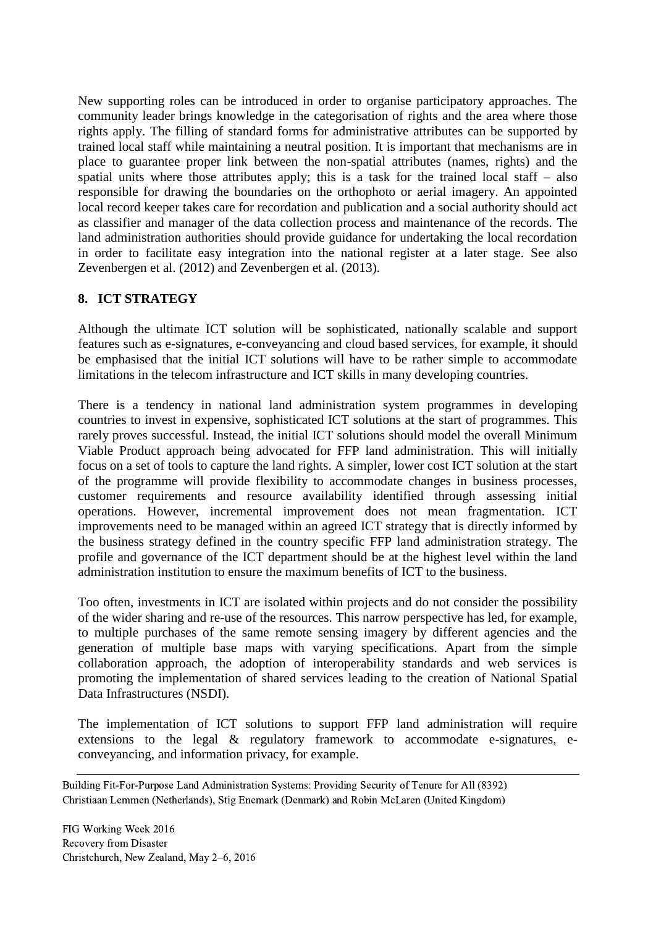New supporting roles can be introduced in order to organise participatory approaches. The community leader brings knowledge in the categorisation of rights and the area where those rights apply. The filling of standard forms for administrative attributes can be supported by trained local staff while maintaining a neutral position. It is important that mechanisms are in place to guarantee proper link between the non-spatial attributes (names, rights) and the spatial units where those attributes apply; this is a task for the trained local staff  $-$  also responsible for drawing the boundaries on the orthophoto or aerial imagery. An appointed local record keeper takes care for recordation and publication and a social authority should act as classifier and manager of the data collection process and maintenance of the records. The land administration authorities should provide guidance for undertaking the local recordation in order to facilitate easy integration into the national register at a later stage. See also Zevenbergen et al. (2012) and Zevenbergen et al. (2013).

### **8. ICT STRATEGY**

Although the ultimate ICT solution will be sophisticated, nationally scalable and support features such as e-signatures, e-conveyancing and cloud based services, for example, it should be emphasised that the initial ICT solutions will have to be rather simple to accommodate limitations in the telecom infrastructure and ICT skills in many developing countries.

There is a tendency in national land administration system programmes in developing countries to invest in expensive, sophisticated ICT solutions at the start of programmes. This rarely proves successful. Instead, the initial ICT solutions should model the overall Minimum Viable Product approach being advocated for FFP land administration. This will initially focus on a set of tools to capture the land rights. A simpler, lower cost ICT solution at the start of the programme will provide flexibility to accommodate changes in business processes, customer requirements and resource availability identified through assessing initial operations. However, incremental improvement does not mean fragmentation. ICT improvements need to be managed within an agreed ICT strategy that is directly informed by the business strategy defined in the country specific FFP land administration strategy. The profile and governance of the ICT department should be at the highest level within the land administration institution to ensure the maximum benefits of ICT to the business.

Too often, investments in ICT are isolated within projects and do not consider the possibility of the wider sharing and re-use of the resources. This narrow perspective has led, for example, to multiple purchases of the same remote sensing imagery by different agencies and the generation of multiple base maps with varying specifications. Apart from the simple collaboration approach, the adoption of interoperability standards and web services is promoting the implementation of shared services leading to the creation of National Spatial Data Infrastructures (NSDI).

The implementation of ICT solutions to support FFP land administration will require extensions to the legal & regulatory framework to accommodate e-signatures, econveyancing, and information privacy, for example.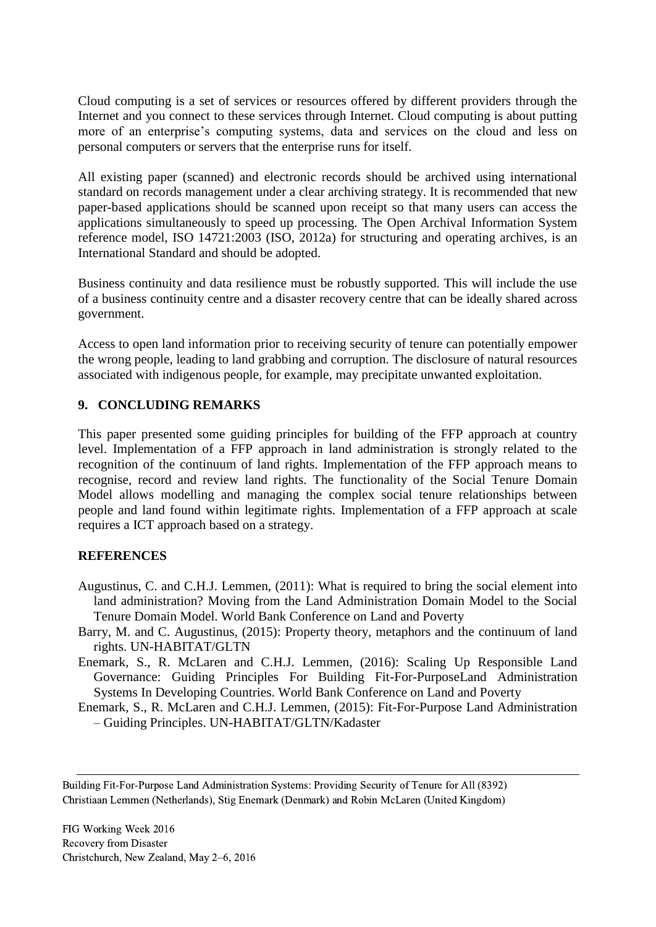Cloud computing is a set of services or resources offered by different providers through the Internet and you connect to these services through Internet. Cloud computing is about putting more of an enterprise's computing systems, data and services on the cloud and less on personal computers or servers that the enterprise runs for itself.

All existing paper (scanned) and electronic records should be archived using international standard on records management under a clear archiving strategy. It is recommended that new paper-based applications should be scanned upon receipt so that many users can access the applications simultaneously to speed up processing. The Open Archival Information System reference model, ISO 14721:2003 (ISO, 2012a) for structuring and operating archives, is an International Standard and should be adopted.

Business continuity and data resilience must be robustly supported. This will include the use of a business continuity centre and a disaster recovery centre that can be ideally shared across government.

Access to open land information prior to receiving security of tenure can potentially empower the wrong people, leading to land grabbing and corruption. The disclosure of natural resources associated with indigenous people, for example, may precipitate unwanted exploitation.

### **9. CONCLUDING REMARKS**

This paper presented some guiding principles for building of the FFP approach at country level. Implementation of a FFP approach in land administration is strongly related to the recognition of the continuum of land rights. Implementation of the FFP approach means to recognise, record and review land rights. The functionality of the Social Tenure Domain Model allows modelling and managing the complex social tenure relationships between people and land found within legitimate rights. Implementation of a FFP approach at scale requires a ICT approach based on a strategy.

### **REFERENCES**

- Augustinus, C. and C.H.J. Lemmen, (2011): What is required to bring the social element into land administration? Moving from the Land Administration Domain Model to the Social Tenure Domain Model. World Bank Conference on Land and Poverty
- Barry, M. and C. Augustinus, (2015): Property theory, metaphors and the continuum of land rights. UN-HABITAT/GLTN
- Enemark, S., R. McLaren and C.H.J. Lemmen, (2016): Scaling Up Responsible Land Governance: Guiding Principles For Building Fit-For-PurposeLand Administration Systems In Developing Countries. World Bank Conference on Land and Poverty
- Enemark, S., R. McLaren and C.H.J. Lemmen, (2015): Fit-For-Purpose Land Administration – Guiding Principles. UN-HABITAT/GLTN/Kadaster

Building Fit-For-Purpose Land Administration Systems: Providing Security of Tenure for All (8392) Christiaan Lemmen (Netherlands), Stig Enemark (Denmark) and Robin McLaren (United Kingdom)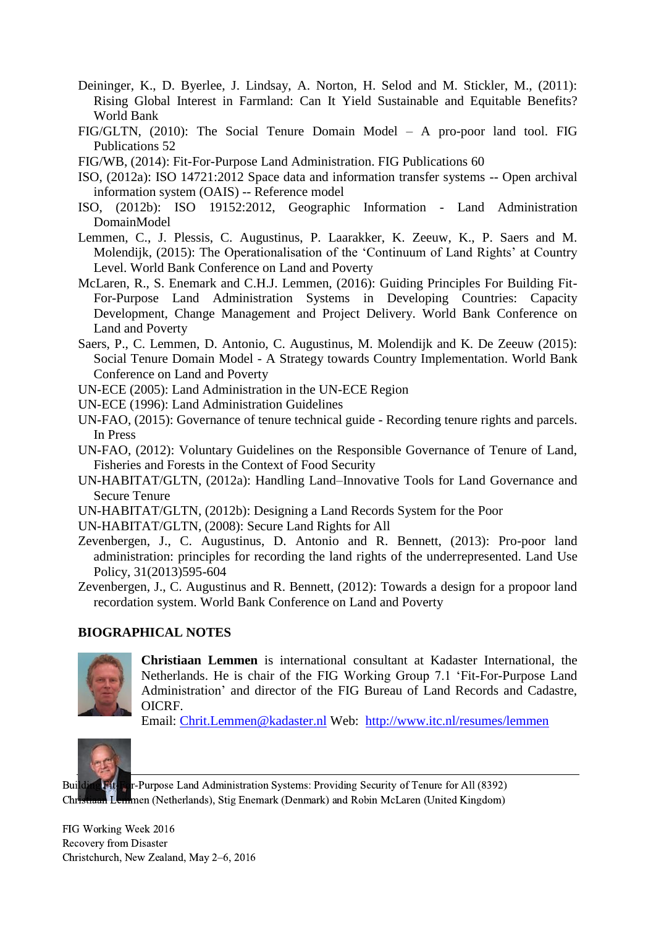- Deininger, K., D. Byerlee, J. Lindsay, A. Norton, H. Selod and M. Stickler, M., (2011): Rising Global Interest in Farmland: Can It Yield Sustainable and Equitable Benefits? World Bank
- FIG/GLTN, (2010): The Social Tenure Domain Model A pro-poor land tool. FIG Publications 52
- FIG/WB, (2014): Fit-For-Purpose Land Administration. FIG Publications 60
- ISO, (2012a): ISO 14721:2012 Space data and information transfer systems -- Open archival information system (OAIS) -- Reference model
- ISO, (2012b): ISO 19152:2012, Geographic Information Land Administration DomainModel
- Lemmen, C., J. Plessis, C. Augustinus, P. Laarakker, K. Zeeuw, K., P. Saers and M. Molendijk, (2015): The Operationalisation of the 'Continuum of Land Rights' at Country Level. World Bank Conference on Land and Poverty
- McLaren, R., S. Enemark and C.H.J. Lemmen, (2016): Guiding Principles For Building Fit-For-Purpose Land Administration Systems in Developing Countries: Capacity Development, Change Management and Project Delivery. World Bank Conference on Land and Poverty
- Saers, P., C. Lemmen, D. Antonio, C. Augustinus, M. Molendijk and K. De Zeeuw (2015): Social Tenure Domain Model - A Strategy towards Country Implementation. World Bank Conference on Land and Poverty
- UN-ECE (2005): Land Administration in the UN-ECE Region
- UN-ECE (1996): Land Administration Guidelines
- UN-FAO, (2015): Governance of tenure technical guide Recording tenure rights and parcels. In Press
- UN-FAO, (2012): Voluntary Guidelines on the Responsible Governance of Tenure of Land, Fisheries and Forests in the Context of Food Security
- UN-HABITAT/GLTN, (2012a): Handling Land–Innovative Tools for Land Governance and Secure Tenure
- UN-HABITAT/GLTN, (2012b): Designing a Land Records System for the Poor
- UN-HABITAT/GLTN, (2008): Secure Land Rights for All
- Zevenbergen, J., C. Augustinus, D. Antonio and R. Bennett, (2013): Pro-poor land administration: principles for recording the land rights of the underrepresented. Land Use Policy, 31(2013)595-604
- Zevenbergen, J., C. Augustinus and R. Bennett, (2012): Towards a design for a propoor land recordation system. World Bank Conference on Land and Poverty

### **BIOGRAPHICAL NOTES**



**Christiaan Lemmen** is international consultant at Kadaster International, the Netherlands. He is chair of the FIG Working Group 7.1 'Fit-For-Purpose Land Administration' and director of the FIG Bureau of Land Records and Cadastre, OICRF.

Email: [Chrit.Lemmen@kadaster.nl](mailto:Chrit.Lemmen@kadaster.nl) Web: <http://www.itc.nl/resumes/lemmen>



Building Fit-For-Purpose Land Administration Systems: Providing Security of Tenure for All (8392) **Hommen (Netherlands), Stig Enemark (Denmark) and Robin McLaren (United Kingdom)**